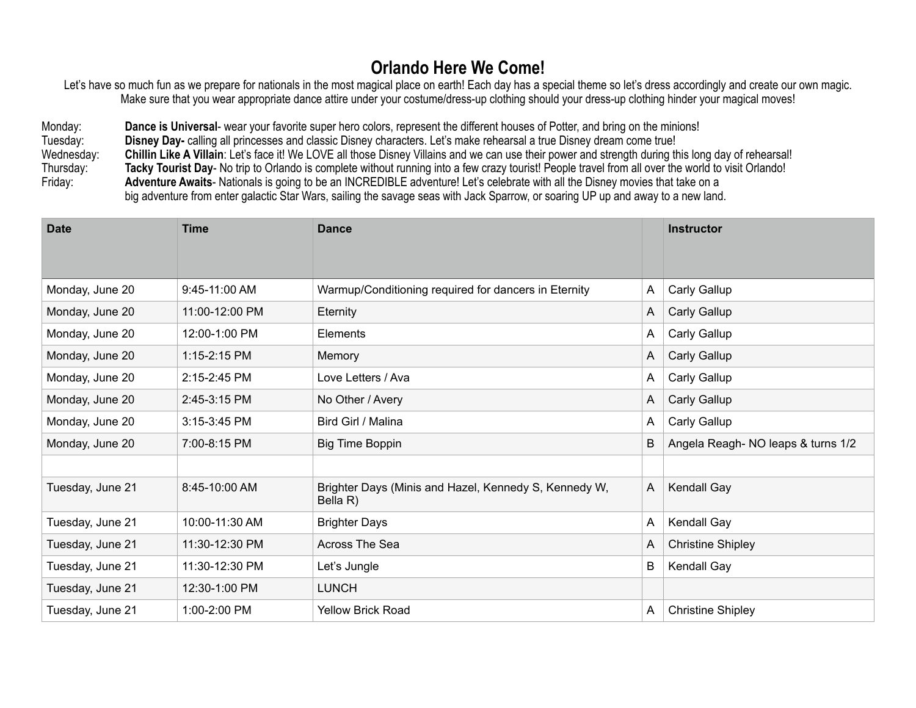## **Orlando Here We Come!**

Let's have so much fun as we prepare for nationals in the most magical place on earth! Each day has a special theme so let's dress accordingly and create our own magic. Make sure that you wear appropriate dance attire under your costume/dress-up clothing should your dress-up clothing hinder your magical moves!

Monday: **Dance is Universal**- wear your favorite super hero colors, represent the different houses of Potter, and bring on the minions! Tuesday: **Disney Day-** calling all princesses and classic Disney characters. Let's make rehearsal a true Disney dream come true! Wednesday: **Chillin Like A Villain**: Let's face it! We LOVE all those Disney Villains and we can use their power and strength during this long day of rehearsal! Thursday: **Tacky Tourist Day**- No trip to Orlando is complete without running into a few crazy tourist! People travel from all over the world to visit Orlando! Friday: **Adventure Awaits**- Nationals is going to be an INCREDIBLE adventure! Let's celebrate with all the Disney movies that take on a big adventure from enter galactic Star Wars, sailing the savage seas with Jack Sparrow, or soaring UP up and away to a new land.

| <b>Date</b>      | <b>Time</b>    | <b>Dance</b>                                                      |   | <b>Instructor</b>                 |
|------------------|----------------|-------------------------------------------------------------------|---|-----------------------------------|
|                  |                |                                                                   |   |                                   |
| Monday, June 20  | 9:45-11:00 AM  | Warmup/Conditioning required for dancers in Eternity              | A | Carly Gallup                      |
| Monday, June 20  | 11:00-12:00 PM | Eternity                                                          | A | Carly Gallup                      |
| Monday, June 20  | 12:00-1:00 PM  | Elements                                                          | A | Carly Gallup                      |
| Monday, June 20  | 1:15-2:15 PM   | Memory                                                            | A | Carly Gallup                      |
| Monday, June 20  | 2:15-2:45 PM   | Love Letters / Ava                                                | A | Carly Gallup                      |
| Monday, June 20  | 2:45-3:15 PM   | No Other / Avery                                                  | A | Carly Gallup                      |
| Monday, June 20  | 3:15-3:45 PM   | Bird Girl / Malina                                                | A | Carly Gallup                      |
| Monday, June 20  | 7:00-8:15 PM   | <b>Big Time Boppin</b>                                            | B | Angela Reagh-NO leaps & turns 1/2 |
|                  |                |                                                                   |   |                                   |
| Tuesday, June 21 | 8:45-10:00 AM  | Brighter Days (Minis and Hazel, Kennedy S, Kennedy W,<br>Bella R) | A | Kendall Gay                       |
| Tuesday, June 21 | 10:00-11:30 AM | <b>Brighter Days</b>                                              | A | Kendall Gay                       |
| Tuesday, June 21 | 11:30-12:30 PM | Across The Sea                                                    | A | <b>Christine Shipley</b>          |
| Tuesday, June 21 | 11:30-12:30 PM | Let's Jungle                                                      | B | Kendall Gay                       |
| Tuesday, June 21 | 12:30-1:00 PM  | <b>LUNCH</b>                                                      |   |                                   |
| Tuesday, June 21 | 1:00-2:00 PM   | <b>Yellow Brick Road</b>                                          | A | <b>Christine Shipley</b>          |